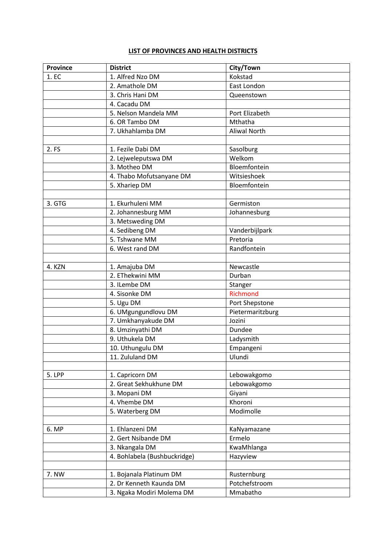## **LIST OF PROVINCES AND HEALTH DISTRICTS**

| <b>Province</b> | <b>District</b>              | City/Town           |
|-----------------|------------------------------|---------------------|
| 1. EC           | 1. Alfred Nzo DM             | Kokstad             |
|                 | 2. Amathole DM               | East London         |
|                 | 3. Chris Hani DM             | Queenstown          |
|                 | 4. Cacadu DM                 |                     |
|                 | 5. Nelson Mandela MM         | Port Elizabeth      |
|                 | 6. OR Tambo DM               | Mthatha             |
|                 | 7. Ukhahlamba DM             | <b>Aliwal North</b> |
|                 |                              |                     |
| 2. FS           | 1. Fezile Dabi DM            | Sasolburg           |
|                 | 2. Lejweleputswa DM          | Welkom              |
|                 | 3. Motheo DM                 | Bloemfontein        |
|                 | 4. Thabo Mofutsanyane DM     | Witsieshoek         |
|                 | 5. Xhariep DM                | Bloemfontein        |
|                 |                              |                     |
| 3. GTG          | 1. Ekurhuleni MM             | Germiston           |
|                 | 2. Johannesburg MM           | Johannesburg        |
|                 | 3. Metsweding DM             |                     |
|                 | 4. Sedibeng DM               | Vanderbijlpark      |
|                 | 5. Tshwane MM                | Pretoria            |
|                 | 6. West rand DM              | Randfontein         |
|                 |                              |                     |
| 4. KZN          | 1. Amajuba DM                | Newcastle           |
|                 | 2. EThekwini MM              | Durban              |
|                 | 3. ILembe DM                 | Stanger             |
|                 | 4. Sisonke DM                | <b>Richmond</b>     |
|                 | 5. Ugu DM                    | Port Shepstone      |
|                 | 6. UMgungundlovu DM          | Pietermaritzburg    |
|                 | 7. Umkhanyakude DM           | Jozini              |
|                 | 8. Umzinyathi DM             | Dundee              |
|                 | 9. Uthukela DM               | Ladysmith           |
|                 | 10. Uthungulu DM             | Empangeni           |
|                 | 11. Zululand DM              | Ulundi              |
| 5. LPP          | 1. Capricorn DM              | Lebowakgomo         |
|                 | 2. Great Sekhukhune DM       | Lebowakgomo         |
|                 | 3. Mopani DM                 | Giyani              |
|                 | 4. Vhembe DM                 | Khoroni             |
|                 | 5. Waterberg DM              | Modimolle           |
|                 |                              |                     |
| 6. MP           | 1. Ehlanzeni DM              | KaNyamazane         |
|                 | 2. Gert Nsibande DM          | Ermelo              |
|                 | 3. Nkangala DM               | KwaMhlanga          |
|                 | 4. Bohlabela (Bushbuckridge) | Hazyview            |
|                 |                              |                     |
| 7. NW           | 1. Bojanala Platinum DM      | Rusternburg         |
|                 | 2. Dr Kenneth Kaunda DM      | Potchefstroom       |
|                 | 3. Ngaka Modiri Molema DM    | Mmabatho            |
|                 |                              |                     |